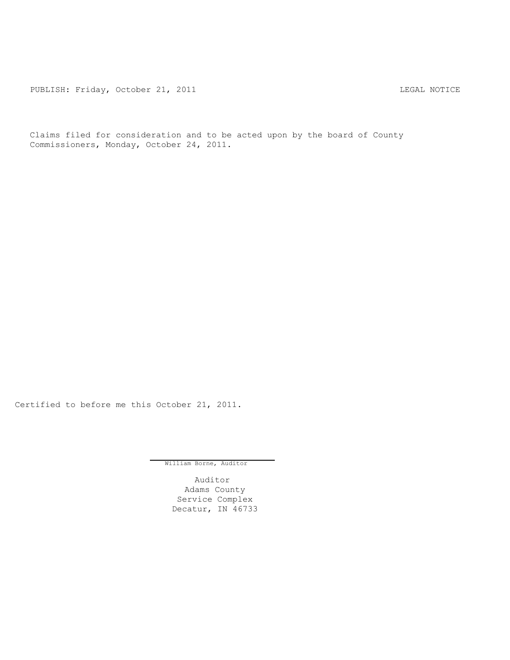PUBLISH: Friday, October 21, 2011 CHARL STREET STREET AND THE LEGAL NOTICE

Claims filed for consideration and to be acted upon by the board of County Commissioners, Monday, October 24, 2011.

Certified to before me this October 21, 2011.

William Borne, Auditor

Auditor Adams County Service Complex Decatur, IN 46733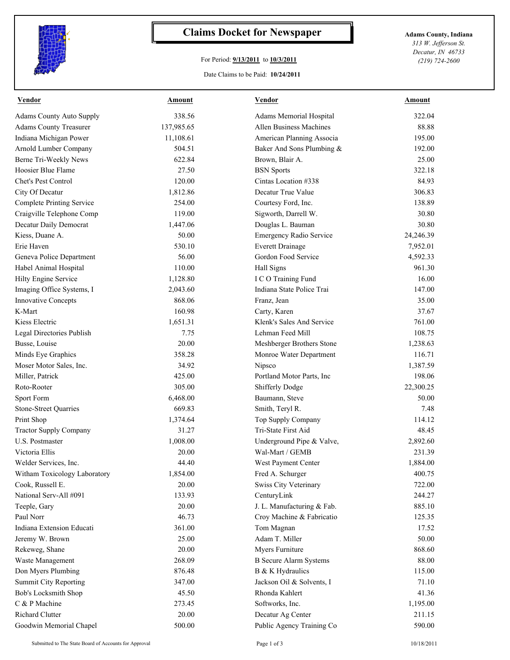

## **Claims Docket for Newspaper Adams County, Indiana**

## For Period: **9/13/2011** to **10/3/2011**

*313 W. Jefferson St. Decatur, IN 46733 (219) 724-2600*

## Date Claims to be Paid: **10/24/2011**

| <b>Vendor</b>                   | Amount     | <b>Vendor</b>                  | <b>Amount</b> |
|---------------------------------|------------|--------------------------------|---------------|
| <b>Adams County Auto Supply</b> | 338.56     | Adams Memorial Hospital        | 322.04        |
| <b>Adams County Treasurer</b>   | 137,985.65 | Allen Business Machines        | 88.88         |
| Indiana Michigan Power          | 11,108.61  | American Planning Associa      | 195.00        |
| Arnold Lumber Company           | 504.51     | Baker And Sons Plumbing &      | 192.00        |
| Berne Tri-Weekly News           | 622.84     | Brown, Blair A.                | 25.00         |
| Hoosier Blue Flame              | 27.50      | <b>BSN</b> Sports              | 322.18        |
| Chet's Pest Control             | 120.00     | Cintas Location #338           | 84.93         |
| City Of Decatur                 | 1,812.86   | Decatur True Value             | 306.83        |
| Complete Printing Service       | 254.00     | Courtesy Ford, Inc.            | 138.89        |
| Craigville Telephone Comp       | 119.00     | Sigworth, Darrell W.           | 30.80         |
| Decatur Daily Democrat          | 1,447.06   | Douglas L. Bauman              | 30.80         |
| Kiess, Duane A.                 | 50.00      | <b>Emergency Radio Service</b> | 24,246.39     |
| Erie Haven                      | 530.10     | <b>Everett Drainage</b>        | 7,952.01      |
| Geneva Police Department        | 56.00      | Gordon Food Service            | 4,592.33      |
| Habel Animal Hospital           | 110.00     | Hall Signs                     | 961.30        |
| Hilty Engine Service            | 1,128.80   | I C O Training Fund            | 16.00         |
| Imaging Office Systems, I       | 2,043.60   | Indiana State Police Trai      | 147.00        |
| <b>Innovative Concepts</b>      | 868.06     | Franz, Jean                    | 35.00         |
| K-Mart                          | 160.98     | Carty, Karen                   | 37.67         |
| Kiess Electric                  | 1,651.31   | Klenk's Sales And Service      | 761.00        |
| Legal Directories Publish       | 7.75       | Lehman Feed Mill               | 108.75        |
| Busse, Louise                   | 20.00      | Meshberger Brothers Stone      | 1,238.63      |
| Minds Eye Graphics              | 358.28     | Monroe Water Department        | 116.71        |
| Moser Motor Sales, Inc.         | 34.92      | Nipsco                         | 1,387.59      |
| Miller, Patrick                 | 425.00     | Portland Motor Parts, Inc      | 198.06        |
| Roto-Rooter                     | 305.00     | Shifferly Dodge                | 22,300.25     |
| Sport Form                      | 6,468.00   | Baumann, Steve                 | 50.00         |
| <b>Stone-Street Quarries</b>    | 669.83     | Smith, Teryl R.                | 7.48          |
| Print Shop                      | 1,374.64   | Top Supply Company             | 114.12        |
| <b>Tractor Supply Company</b>   | 31.27      | Tri-State First Aid            | 48.45         |
| <b>U.S. Postmaster</b>          | 1,008.00   | Underground Pipe & Valve,      | 2,892.60      |
| Victoria Ellis                  | 20.00      | Wal-Mart / GEMB                | 231.39        |
| Welder Services, Inc.           | 44.40      | West Payment Center            | 1,884.00      |
| Witham Toxicology Laboratory    | 1,854.00   | Fred A. Schurger               | 400.75        |
| Cook, Russell E.                | 20.00      | Swiss City Veterinary          | 722.00        |
| National Serv-All #091          | 133.93     | CenturyLink                    | 244.27        |
| Teeple, Gary                    | 20.00      | J. L. Manufacturing & Fab.     | 885.10        |
| Paul Norr                       | 46.73      | Croy Machine & Fabricatio      | 125.35        |
| Indiana Extension Educati       | 361.00     | Tom Magnan                     | 17.52         |
| Jeremy W. Brown                 | 25.00      | Adam T. Miller                 | 50.00         |
| Rekeweg, Shane                  | 20.00      | Myers Furniture                | 868.60        |
| Waste Management                | 268.09     | <b>B</b> Secure Alarm Systems  | 88.00         |
| Don Myers Plumbing              | 876.48     | B & K Hydraulics               | 115.00        |
| <b>Summit City Reporting</b>    | 347.00     | Jackson Oil & Solvents, I      | 71.10         |
| Bob's Locksmith Shop            | 45.50      | Rhonda Kahlert                 | 41.36         |
| C & P Machine                   | 273.45     | Softworks, Inc.                | 1,195.00      |
| Richard Clutter                 | 20.00      | Decatur Ag Center              | 211.15        |
| Goodwin Memorial Chapel         | 500.00     | Public Agency Training Co      | 590.00        |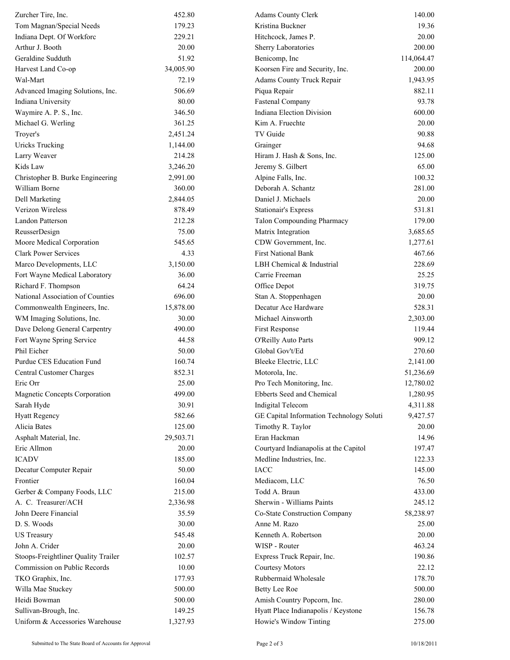| Zurcher Tire, Inc.                  | 452.80    | <b>Adams County Clerk</b>                | 140.00     |
|-------------------------------------|-----------|------------------------------------------|------------|
| Tom Magnan/Special Needs            | 179.23    | Kristina Buckner                         | 19.36      |
| Indiana Dept. Of Workforc           | 229.21    | Hitchcock, James P.                      | 20.00      |
| Arthur J. Booth                     | 20.00     | Sherry Laboratories                      | 200.00     |
| Geraldine Sudduth                   | 51.92     | Benicomp, Inc                            | 114,064.47 |
| Harvest Land Co-op                  | 34,005.90 | Koorsen Fire and Security, Inc.          | 200.00     |
| Wal-Mart                            | 72.19     | Adams County Truck Repair                | 1,943.95   |
| Advanced Imaging Solutions, Inc.    | 506.69    | Piqua Repair                             | 882.11     |
| Indiana University                  | 80.00     | Fastenal Company                         | 93.78      |
| Waymire A. P. S., Inc.              | 346.50    | <b>Indiana Election Division</b>         | 600.00     |
| Michael G. Werling                  | 361.25    | Kim A. Fruechte                          | 20.00      |
| Troyer's                            | 2,451.24  | TV Guide                                 | 90.88      |
| <b>Uricks Trucking</b>              | 1,144.00  | Grainger                                 | 94.68      |
| Larry Weaver                        | 214.28    | Hiram J. Hash & Sons, Inc.               | 125.00     |
| Kids Law                            | 3,246.20  | Jeremy S. Gilbert                        | 65.00      |
| Christopher B. Burke Engineering    | 2,991.00  | Alpine Falls, Inc.                       | 100.32     |
| William Borne                       | 360.00    | Deborah A. Schantz                       | 281.00     |
| Dell Marketing                      | 2,844.05  | Daniel J. Michaels                       | 20.00      |
| Verizon Wireless                    | 878.49    | <b>Stationair's Express</b>              | 531.81     |
| Landon Patterson                    | 212.28    | <b>Talon Compounding Pharmacy</b>        | 179.00     |
| ReusserDesign                       | 75.00     | Matrix Integration                       | 3,685.65   |
| Moore Medical Corporation           | 545.65    | CDW Government, Inc.                     | 1,277.61   |
| <b>Clark Power Services</b>         | 4.33      | <b>First National Bank</b>               | 467.66     |
| Marco Developments, LLC             | 3,150.00  | LBH Chemical & Industrial                | 228.69     |
| Fort Wayne Medical Laboratory       | 36.00     | Carrie Freeman                           | 25.25      |
| Richard F. Thompson                 | 64.24     | Office Depot                             | 319.75     |
| National Association of Counties    | 696.00    | Stan A. Stoppenhagen                     | 20.00      |
| Commonwealth Engineers, Inc.        | 15,878.00 | Decatur Ace Hardware                     | 528.31     |
| WM Imaging Solutions, Inc.          | 30.00     | Michael Ainsworth                        | 2,303.00   |
| Dave Delong General Carpentry       | 490.00    | First Response                           | 119.44     |
| Fort Wayne Spring Service           | 44.58     | O'Reilly Auto Parts                      | 909.12     |
| Phil Eicher                         | 50.00     | Global Gov't/Ed                          | 270.60     |
| Purdue CES Education Fund           | 160.74    | Bleeke Electric, LLC                     | 2,141.00   |
| Central Customer Charges            | 852.31    | Motorola, Inc.                           | 51,236.69  |
| Eric Orr                            | 25.00     | Pro Tech Monitoring, Inc.                | 12,780.02  |
| Magnetic Concepts Corporation       | 499.00    | Ebberts Seed and Chemical                | 1,280.95   |
| Sarah Hyde                          | 30.91     | Indigital Telecom                        | 4,311.88   |
| <b>Hyatt Regency</b>                | 582.66    | GE Capital Information Technology Soluti | 9,427.57   |
| Alicia Bates                        | 125.00    | Timothy R. Taylor                        | 20.00      |
| Asphalt Material, Inc.              | 29,503.71 | Eran Hackman                             | 14.96      |
| Eric Allmon                         | 20.00     | Courtyard Indianapolis at the Capitol    | 197.47     |
| <b>ICADV</b>                        | 185.00    | Medline Industries, Inc.                 | 122.33     |
| Decatur Computer Repair             | 50.00     | IACC                                     | 145.00     |
| Frontier                            | 160.04    | Mediacom, LLC                            | 76.50      |
| Gerber & Company Foods, LLC         | 215.00    | Todd A. Braun                            | 433.00     |
| A. C. Treasurer/ACH                 | 2,336.98  | Sherwin - Williams Paints                | 245.12     |
| John Deere Financial                | 35.59     | Co-State Construction Company            | 58,238.97  |
| D. S. Woods                         | 30.00     | Anne M. Razo                             | 25.00      |
| <b>US Treasury</b>                  | 545.48    | Kenneth A. Robertson                     | 20.00      |
| John A. Crider                      | 20.00     | WISP - Router                            | 463.24     |
| Stoops-Freightliner Quality Trailer | 102.57    | Express Truck Repair, Inc.               | 190.86     |
| Commission on Public Records        | 10.00     | <b>Courtesy Motors</b>                   | 22.12      |
| TKO Graphix, Inc.                   | 177.93    | Rubbermaid Wholesale                     | 178.70     |
| Willa Mae Stuckey                   | 500.00    | <b>Betty Lee Roe</b>                     | 500.00     |
| Heidi Bowman                        | 500.00    | Amish Country Popcorn, Inc.              | 280.00     |
| Sullivan-Brough, Inc.               | 149.25    | Hyatt Place Indianapolis / Keystone      | 156.78     |
| Uniform & Accessories Warehouse     | 1,327.93  | Howie's Window Tinting                   | 275.00     |
|                                     |           |                                          |            |